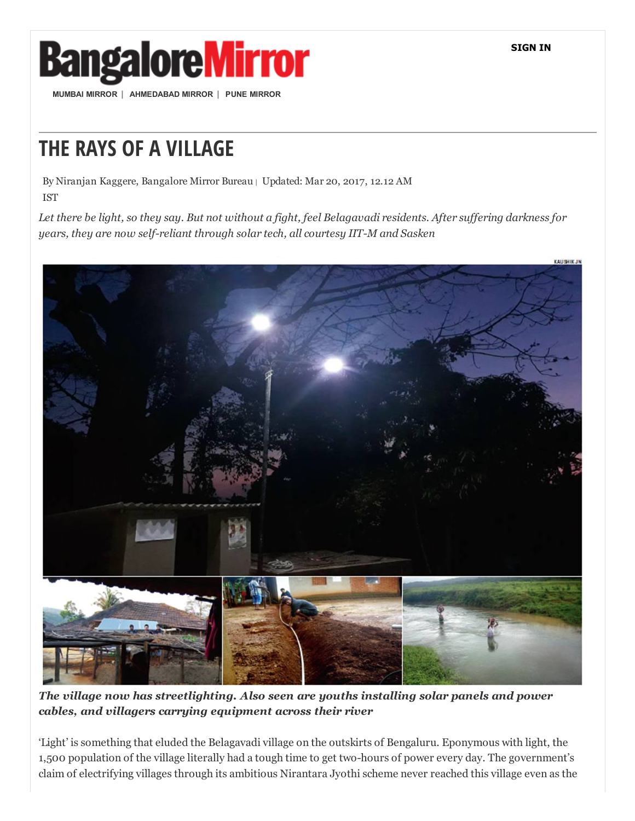SIGN IN



MUMBAI [MIRROR](http://mumbaimirror.indiatimes.com/) | [AHMEDABAD](http://ahmedabadmirror.indiatimes.com/) MIRROR | PUNE [MIRROR](http://punemirror.indiatimes.com/)

## THE RAYS OF A VILLAGE

By Niranjan Kaggere, Bangalore Mirror Bureau <sup>|</sup> Updated: Mar 20, 2017, 12.12 AM IST

Let there be light, so they say. But not without a fight, feel Belagavadi residents. After suffering darkness for *years, they are now self-reliant through solar tech, all courtesy IIT-M and Sasken* 



*The village now has streetlighting. Also seen are youths installing solar panels and power cables, and villagers carrying equipment across their river*

'Light' is something that eluded the Belagavadi village on the outskirts of Bengaluru. Eponymous with light, the 1,500 population of the village literally had a tough time to get two-hours of power every day. The government's claim of electrifying villages through its ambitious Nirantara Jyothi scheme never reached this village even as the